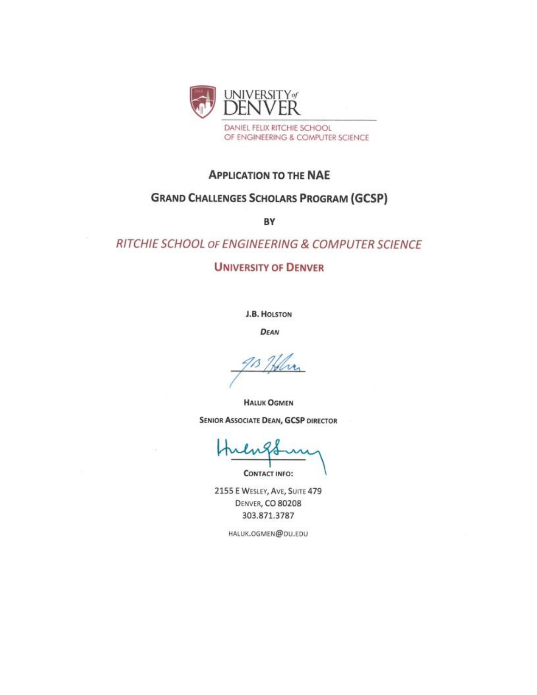

# **APPLICATION TO THE NAE**

# **GRAND CHALLENGES SCHOLARS PROGRAM (GCSP)**

BY

# RITCHIE SCHOOL OF ENGINEERING & COMPUTER SCIENCE

# **UNIVERSITY OF DENVER**

**J.B. HOLSTON** 

**DEAN** 

**HALUK OGMEN SENIOR ASSOCIATE DEAN, GCSP DIRECTOR** 

**CONTACT INFO:** 

2155 E WESLEY, AVE, SUITE 479 **DENVER, CO 80208** 303.871.3787

HALUK.OGMEN@DU.EDU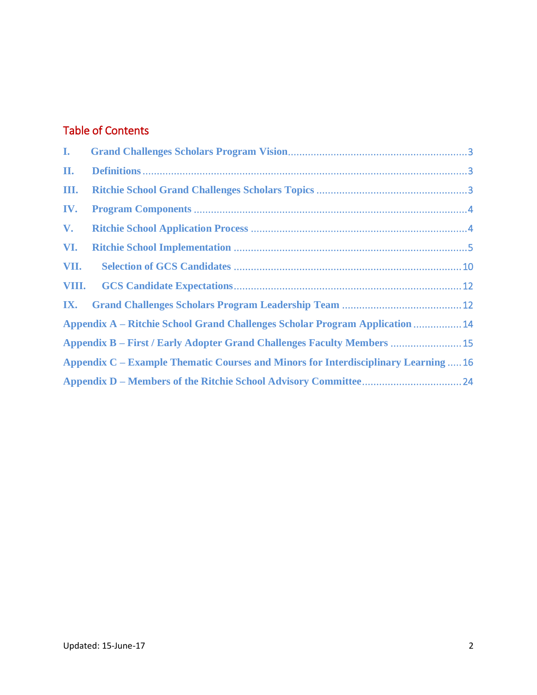# Table of Contents

| L.             |                                                                                     |  |
|----------------|-------------------------------------------------------------------------------------|--|
| П.             |                                                                                     |  |
| Ш.             |                                                                                     |  |
| IV.            |                                                                                     |  |
| $\mathbf{V}$ . |                                                                                     |  |
| VI.            |                                                                                     |  |
| VII.           |                                                                                     |  |
| VIII.          |                                                                                     |  |
| IX.            |                                                                                     |  |
|                | <b>Appendix A – Ritchie School Grand Challenges Scholar Program Application  14</b> |  |
|                | <b>Appendix B - First / Early Adopter Grand Challenges Faculty Members  15</b>      |  |
|                | Appendix C – Example Thematic Courses and Minors for Interdisciplinary Learning  16 |  |
|                |                                                                                     |  |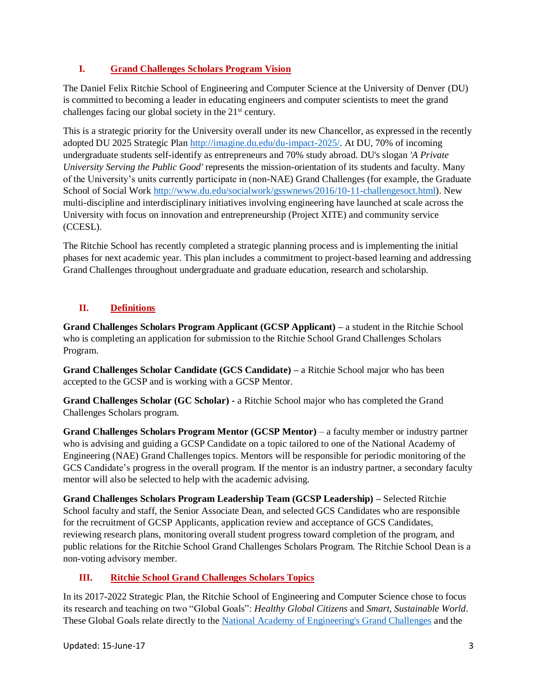# <span id="page-2-0"></span>**I. Grand Challenges Scholars Program Vision**

The Daniel Felix Ritchie School of Engineering and Computer Science at the University of Denver (DU) is committed to becoming a leader in educating engineers and computer scientists to meet the grand challenges facing our global society in the 21<sup>st</sup> century.

This is a strategic priority for the University overall under its new Chancellor, as expressed in the recently adopted DU 2025 Strategic Plan [http://imagine.du.edu/du-impact-2025/.](http://imagine.du.edu/du-impact-2025/) At DU, 70% of incoming undergraduate students self-identify as entrepreneurs and 70% study abroad. DU's slogan *'A Private University Serving the Public Good'* represents the mission-orientation of its students and faculty. Many of the University's units currently participate in (non-NAE) Grand Challenges (for example, the Graduate School of Social Work [http://www.du.edu/socialwork/gsswnews/2016/10-11-challengesoct.html\)](http://www.du.edu/socialwork/gsswnews/2016/10-11-challengesoct.html). New multi-discipline and interdisciplinary initiatives involving engineering have launched at scale across the University with focus on innovation and entrepreneurship (Project XITE) and community service (CCESL).

The Ritchie School has recently completed a strategic planning process and is implementing the initial phases for next academic year. This plan includes a commitment to project-based learning and addressing Grand Challenges throughout undergraduate and graduate education, research and scholarship.

# <span id="page-2-1"></span>**II. Definitions**

**Grand Challenges Scholars Program Applicant (GCSP Applicant) –** a student in the Ritchie School who is completing an application for submission to the Ritchie School Grand Challenges Scholars Program.

**Grand Challenges Scholar Candidate (GCS Candidate) –** a Ritchie School major who has been accepted to the GCSP and is working with a GCSP Mentor.

**Grand Challenges Scholar (GC Scholar) -** a Ritchie School major who has completed the Grand Challenges Scholars program.

**Grand Challenges Scholars Program Mentor (GCSP Mentor)** – a faculty member or industry partner who is advising and guiding a GCSP Candidate on a topic tailored to one of the National Academy of Engineering (NAE) Grand Challenges topics. Mentors will be responsible for periodic monitoring of the GCS Candidate's progress in the overall program. If the mentor is an industry partner, a secondary faculty mentor will also be selected to help with the academic advising.

**Grand Challenges Scholars Program Leadership Team (GCSP Leadership) –** Selected Ritchie School faculty and staff, the Senior Associate Dean, and selected GCS Candidates who are responsible for the recruitment of GCSP Applicants, application review and acceptance of GCS Candidates, reviewing research plans, monitoring overall student progress toward completion of the program, and public relations for the Ritchie School Grand Challenges Scholars Program. The Ritchie School Dean is a non-voting advisory member.

# <span id="page-2-2"></span>**III. Ritchie School Grand Challenges Scholars Topics**

In its 2017-2022 Strategic Plan, the Ritchie School of Engineering and Computer Science chose to focus its research and teaching on two "Global Goals": *Healthy Global Citizens* and *Smart, Sustainable World*. These Global Goals relate directly to the [National Academy of Engineering's Grand Challenges](http://engineeringchallenges.org/challenges.aspx) and the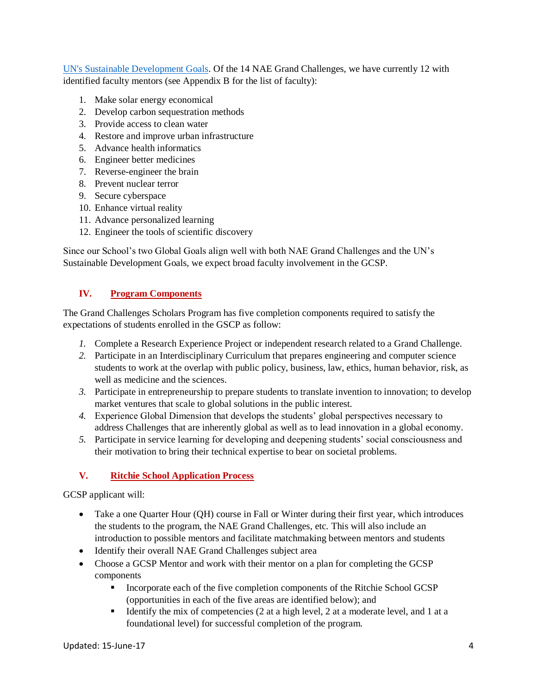[UN's Sustainable Development Goals.](https://sustainabledevelopment.un.org/sdgs) Of the 14 NAE Grand Challenges, we have currently 12 with identified faculty mentors (see Appendix B for the list of faculty):

- 1. Make solar energy economical
- 2. Develop carbon sequestration methods
- 3. Provide access to clean water
- 4. Restore and improve urban infrastructure
- 5. Advance health informatics
- 6. Engineer better medicines
- 7. Reverse-engineer the brain
- 8. Prevent nuclear terror
- 9. Secure cyberspace
- 10. Enhance virtual reality
- 11. Advance personalized learning
- 12. Engineer the tools of scientific discovery

Since our School's two Global Goals align well with both NAE Grand Challenges and the UN's Sustainable Development Goals, we expect broad faculty involvement in the GCSP.

# <span id="page-3-0"></span>**IV. Program Components**

The Grand Challenges Scholars Program has five completion components required to satisfy the expectations of students enrolled in the GSCP as follow:

- *1.* Complete a Research Experience Project or independent research related to a Grand Challenge.
- *2.* Participate in an Interdisciplinary Curriculum that prepares engineering and computer science students to work at the overlap with public policy, business, law, ethics, human behavior, risk, as well as medicine and the sciences.
- *3.* Participate in entrepreneurship to prepare students to translate invention to innovation; to develop market ventures that scale to global solutions in the public interest.
- *4.* Experience Global Dimension that develops the students' global perspectives necessary to address Challenges that are inherently global as well as to lead innovation in a global economy.
- *5.* Participate in service learning for developing and deepening students' social consciousness and their motivation to bring their technical expertise to bear on societal problems.

# <span id="page-3-1"></span>**V. Ritchie School Application Process**

GCSP applicant will:

- Take a one Quarter Hour (QH) course in Fall or Winter during their first year, which introduces the students to the program, the NAE Grand Challenges, etc. This will also include an introduction to possible mentors and facilitate matchmaking between mentors and students
- Identify their overall NAE Grand Challenges subject area
- Choose a GCSP Mentor and work with their mentor on a plan for completing the GCSP components
	- **•** Incorporate each of the five completion components of the Ritchie School GCSP (opportunities in each of the five areas are identified below); and
	- **•** Identify the mix of competencies (2 at a high level, 2 at a moderate level, and 1 at a foundational level) for successful completion of the program.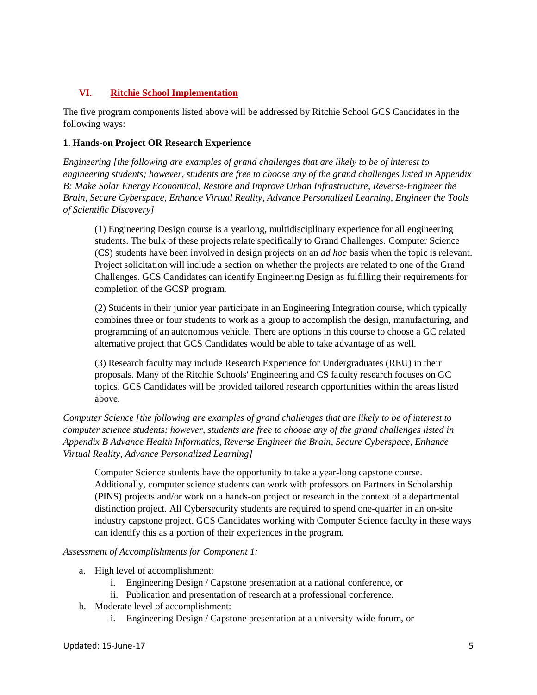# <span id="page-4-0"></span>**VI. Ritchie School Implementation**

The five program components listed above will be addressed by Ritchie School GCS Candidates in the following ways:

# **1. Hands-on Project OR Research Experience**

*Engineering [the following are examples of grand challenges that are likely to be of interest to engineering students; however, students are free to choose any of the grand challenges listed in Appendix B: Make Solar Energy Economical, Restore and Improve Urban Infrastructure, Reverse-Engineer the Brain, Secure Cyberspace, Enhance Virtual Reality, Advance Personalized Learning, Engineer the Tools of Scientific Discovery]*

(1) Engineering Design course is a yearlong, multidisciplinary experience for all engineering students. The bulk of these projects relate specifically to Grand Challenges. Computer Science (CS) students have been involved in design projects on an *ad hoc* basis when the topic is relevant. Project solicitation will include a section on whether the projects are related to one of the Grand Challenges. GCS Candidates can identify Engineering Design as fulfilling their requirements for completion of the GCSP program.

(2) Students in their junior year participate in an Engineering Integration course, which typically combines three or four students to work as a group to accomplish the design, manufacturing, and programming of an autonomous vehicle. There are options in this course to choose a GC related alternative project that GCS Candidates would be able to take advantage of as well.

(3) Research faculty may include Research Experience for Undergraduates (REU) in their proposals. Many of the Ritchie Schools' Engineering and CS faculty research focuses on GC topics. GCS Candidates will be provided tailored research opportunities within the areas listed above.

*Computer Science [the following are examples of grand challenges that are likely to be of interest to computer science students; however, students are free to choose any of the grand challenges listed in Appendix B Advance Health Informatics, Reverse Engineer the Brain, Secure Cyberspace, Enhance Virtual Reality, Advance Personalized Learning]*

Computer Science students have the opportunity to take a year-long capstone course. Additionally, computer science students can work with professors on Partners in Scholarship (PINS) projects and/or work on a hands-on project or research in the context of a departmental distinction project. All Cybersecurity students are required to spend one-quarter in an on-site industry capstone project. GCS Candidates working with Computer Science faculty in these ways can identify this as a portion of their experiences in the program.

# *Assessment of Accomplishments for Component 1:*

- a. High level of accomplishment:
	- i. Engineering Design / Capstone presentation at a national conference, or
	- ii. Publication and presentation of research at a professional conference.
- b. Moderate level of accomplishment:
	- i. Engineering Design / Capstone presentation at a university-wide forum, or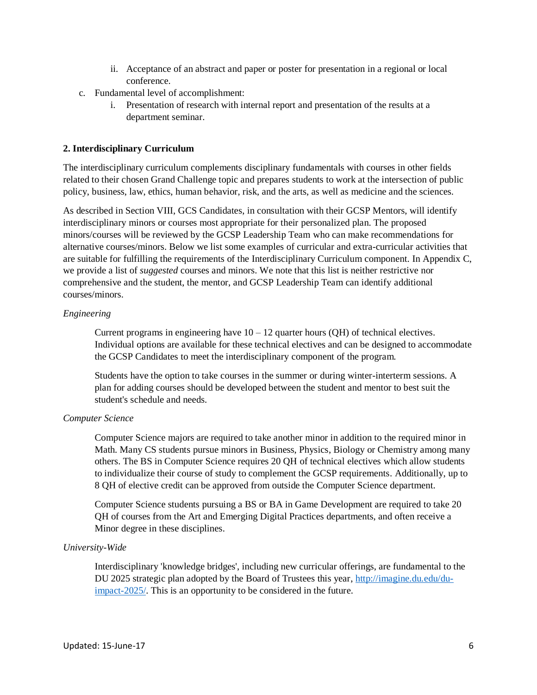- ii. Acceptance of an abstract and paper or poster for presentation in a regional or local conference.
- c. Fundamental level of accomplishment:
	- i. Presentation of research with internal report and presentation of the results at a department seminar.

#### **2. Interdisciplinary Curriculum**

The interdisciplinary curriculum complements disciplinary fundamentals with courses in other fields related to their chosen Grand Challenge topic and prepares students to work at the intersection of public policy, business, law, ethics, human behavior, risk, and the arts, as well as medicine and the sciences.

As described in Section VIII, GCS Candidates, in consultation with their GCSP Mentors, will identify interdisciplinary minors or courses most appropriate for their personalized plan. The proposed minors/courses will be reviewed by the GCSP Leadership Team who can make recommendations for alternative courses/minors. Below we list some examples of curricular and extra-curricular activities that are suitable for fulfilling the requirements of the Interdisciplinary Curriculum component. In Appendix C, we provide a list of *suggested* courses and minors. We note that this list is neither restrictive nor comprehensive and the student, the mentor, and GCSP Leadership Team can identify additional courses/minors.

#### *Engineering*

Current programs in engineering have  $10 - 12$  quarter hours (QH) of technical electives. Individual options are available for these technical electives and can be designed to accommodate the GCSP Candidates to meet the interdisciplinary component of the program.

Students have the option to take courses in the summer or during winter-interterm sessions. A plan for adding courses should be developed between the student and mentor to best suit the student's schedule and needs.

#### *Computer Science*

Computer Science majors are required to take another minor in addition to the required minor in Math. Many CS students pursue minors in Business, Physics, Biology or Chemistry among many others. The BS in Computer Science requires 20 QH of technical electives which allow students to individualize their course of study to complement the GCSP requirements. Additionally, up to 8 QH of elective credit can be approved from outside the Computer Science department.

Computer Science students pursuing a BS or BA in Game Development are required to take 20 QH of courses from the Art and Emerging Digital Practices departments, and often receive a Minor degree in these disciplines.

# *University-Wide*

Interdisciplinary 'knowledge bridges', including new curricular offerings, are fundamental to the DU 2025 strategic plan adopted by the Board of Trustees this year, [http://imagine.du.edu/du](http://imagine.du.edu/du-impact-2025/)[impact-2025/.](http://imagine.du.edu/du-impact-2025/) This is an opportunity to be considered in the future.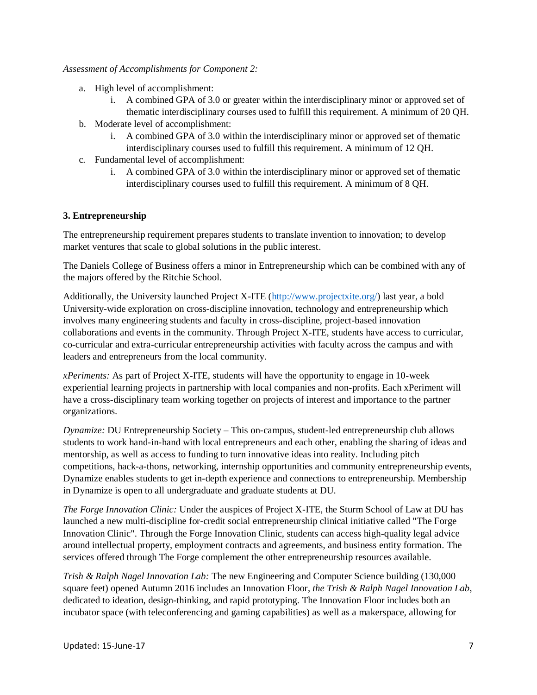#### *Assessment of Accomplishments for Component 2:*

- a. High level of accomplishment:
	- i. A combined GPA of 3.0 or greater within the interdisciplinary minor or approved set of thematic interdisciplinary courses used to fulfill this requirement. A minimum of 20 QH.
- b. Moderate level of accomplishment:
	- i. A combined GPA of 3.0 within the interdisciplinary minor or approved set of thematic interdisciplinary courses used to fulfill this requirement. A minimum of 12 QH.
- c. Fundamental level of accomplishment:
	- i. A combined GPA of 3.0 within the interdisciplinary minor or approved set of thematic interdisciplinary courses used to fulfill this requirement. A minimum of 8 QH.

# **3. Entrepreneurship**

The entrepreneurship requirement prepares students to translate invention to innovation; to develop market ventures that scale to global solutions in the public interest.

The Daniels College of Business offers a minor in Entrepreneurship which can be combined with any of the majors offered by the Ritchie School.

Additionally, the University launched Project X-ITE [\(http://www.projectxite.org/\)](http://www.projectxite.org/) last year, a bold University-wide exploration on cross-discipline innovation, technology and entrepreneurship which involves many engineering students and faculty in cross-discipline, project-based innovation collaborations and events in the community. Through Project X-ITE, students have access to curricular, co-curricular and extra-curricular entrepreneurship activities with faculty across the campus and with leaders and entrepreneurs from the local community.

*xPeriments:* As part of Project X-ITE, students will have the opportunity to engage in 10-week experiential learning projects in partnership with local companies and non-profits. Each xPeriment will have a cross-disciplinary team working together on projects of interest and importance to the partner organizations.

*Dynamize:* DU Entrepreneurship Society – This on-campus, student-led entrepreneurship club allows students to work hand-in-hand with local entrepreneurs and each other, enabling the sharing of ideas and mentorship, as well as access to funding to turn innovative ideas into reality. Including pitch competitions, hack-a-thons, networking, internship opportunities and community entrepreneurship events, Dynamize enables students to get in-depth experience and connections to entrepreneurship. Membership in Dynamize is open to all undergraduate and graduate students at DU.

*The Forge Innovation Clinic:* Under the auspices of Project X-ITE, the Sturm School of Law at DU has launched a new multi-discipline for-credit social entrepreneurship clinical initiative called "The Forge Innovation Clinic". Through the Forge Innovation Clinic, students can access high-quality legal advice around intellectual property, employment contracts and agreements, and business entity formation. The services offered through The Forge complement the other entrepreneurship resources available.

*Trish & Ralph Nagel Innovation Lab:* The new Engineering and Computer Science building (130,000 square feet) opened Autumn 2016 includes an Innovation Floor, *the Trish & Ralph Nagel Innovation Lab*, dedicated to ideation, design-thinking, and rapid prototyping. The Innovation Floor includes both an incubator space (with teleconferencing and gaming capabilities) as well as a makerspace, allowing for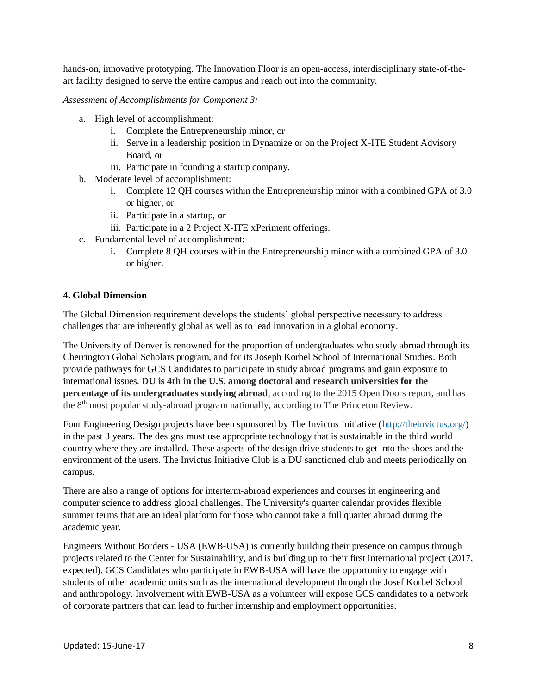hands-on, innovative prototyping. The Innovation Floor is an open-access, interdisciplinary state-of-theart facility designed to serve the entire campus and reach out into the community.

*Assessment of Accomplishments for Component 3:*

- a. High level of accomplishment:
	- i. Complete the Entrepreneurship minor, or
	- ii. Serve in a leadership position in Dynamize or on the Project X-ITE Student Advisory Board, or
	- iii. Participate in founding a startup company.
- b. Moderate level of accomplishment:
	- i. Complete 12 QH courses within the Entrepreneurship minor with a combined GPA of 3.0 or higher, or
	- ii. Participate in a startup, or
	- iii. Participate in a 2 Project X-ITE xPeriment offerings.
- c. Fundamental level of accomplishment:
	- i. Complete 8 QH courses within the Entrepreneurship minor with a combined GPA of 3.0 or higher.

# **4. Global Dimension**

The Global Dimension requirement develops the students' global perspective necessary to address challenges that are inherently global as well as to lead innovation in a global economy.

The University of Denver is renowned for the proportion of undergraduates who study abroad through its Cherrington Global Scholars program, and for its Joseph Korbel School of International Studies. Both provide pathways for GCS Candidates to participate in study abroad programs and gain exposure to international issues. **DU is 4th in the U.S. among doctoral and research universities for the percentage of its undergraduates studying abroad**, according to the 2015 Open Doors report, and has the 8<sup>th</sup> most popular study-abroad program nationally, according to The Princeton Review.

Four Engineering Design projects have been sponsored by The Invictus Initiative [\(http://theinvictus.org/\)](http://theinvictus.org/) in the past 3 years. The designs must use appropriate technology that is sustainable in the third world country where they are installed. These aspects of the design drive students to get into the shoes and the environment of the users. The Invictus Initiative Club is a DU sanctioned club and meets periodically on campus.

There are also a range of options for interterm-abroad experiences and courses in engineering and computer science to address global challenges. The University's quarter calendar provides flexible summer terms that are an ideal platform for those who cannot take a full quarter abroad during the academic year.

Engineers Without Borders - USA (EWB-USA) is currently building their presence on campus through projects related to the Center for Sustainability, and is building up to their first international project (2017, expected). GCS Candidates who participate in EWB-USA will have the opportunity to engage with students of other academic units such as the international development through the Josef Korbel School and anthropology. Involvement with EWB-USA as a volunteer will expose GCS candidates to a network of corporate partners that can lead to further internship and employment opportunities.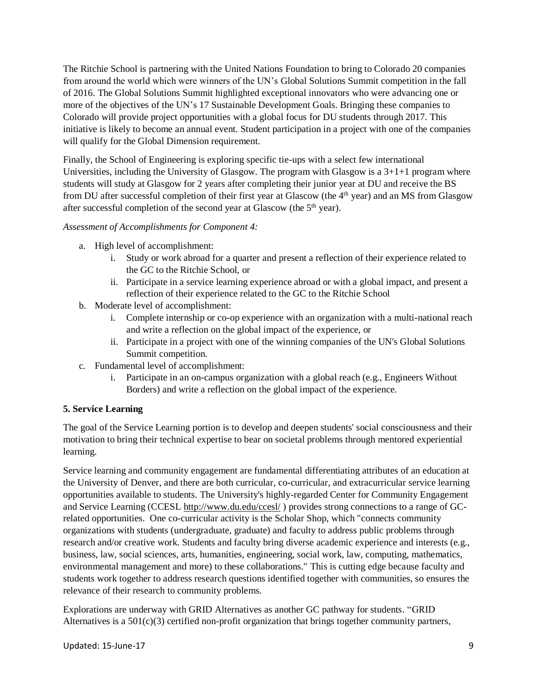The Ritchie School is partnering with the United Nations Foundation to bring to Colorado 20 companies from around the world which were winners of the UN's Global Solutions Summit competition in the fall of 2016. The Global Solutions Summit highlighted exceptional innovators who were advancing one or more of the objectives of the UN's 17 Sustainable Development Goals. Bringing these companies to Colorado will provide project opportunities with a global focus for DU students through 2017. This initiative is likely to become an annual event. Student participation in a project with one of the companies will qualify for the Global Dimension requirement.

Finally, the School of Engineering is exploring specific tie-ups with a select few international Universities, including the University of Glasgow. The program with Glasgow is a  $3+1+1$  program where students will study at Glasgow for 2 years after completing their junior year at DU and receive the BS from DU after successful completion of their first year at Glascow (the 4<sup>th</sup> year) and an MS from Glasgow after successful completion of the second year at Glascow (the  $5<sup>th</sup>$  year).

# *Assessment of Accomplishments for Component 4:*

- a. High level of accomplishment:
	- i. Study or work abroad for a quarter and present a reflection of their experience related to the GC to the Ritchie School, or
	- ii. Participate in a service learning experience abroad or with a global impact, and present a reflection of their experience related to the GC to the Ritchie School
- b. Moderate level of accomplishment:
	- i. Complete internship or co-op experience with an organization with a multi-national reach and write a reflection on the global impact of the experience, or
	- ii. Participate in a project with one of the winning companies of the UN's Global Solutions Summit competition.
- c. Fundamental level of accomplishment:
	- i. Participate in an on-campus organization with a global reach (e.g., Engineers Without Borders) and write a reflection on the global impact of the experience.

# **5. Service Learning**

The goal of the Service Learning portion is to develop and deepen students' social consciousness and their motivation to bring their technical expertise to bear on societal problems through mentored experiential learning.

Service learning and community engagement are fundamental differentiating attributes of an education at the University of Denver, and there are both curricular, co-curricular, and extracurricular service learning opportunities available to students. The University's highly-regarded Center for Community Engagement and Service Learning (CCESL<http://www.du.edu/ccesl/> ) provides strong connections to a range of GCrelated opportunities. One co-curricular activity is the Scholar Shop, which "connects community organizations with students (undergraduate, graduate) and faculty to address public problems through research and/or creative work. Students and faculty bring diverse academic experience and interests (e.g., business, law, social sciences, arts, humanities, engineering, social work, law, computing, mathematics, environmental management and more) to these collaborations." This is cutting edge because faculty and students work together to address research questions identified together with communities, so ensures the relevance of their research to community problems.

Explorations are underway with GRID Alternatives as another GC pathway for students. "GRID Alternatives is a  $501(c)(3)$  certified non-profit organization that brings together community partners,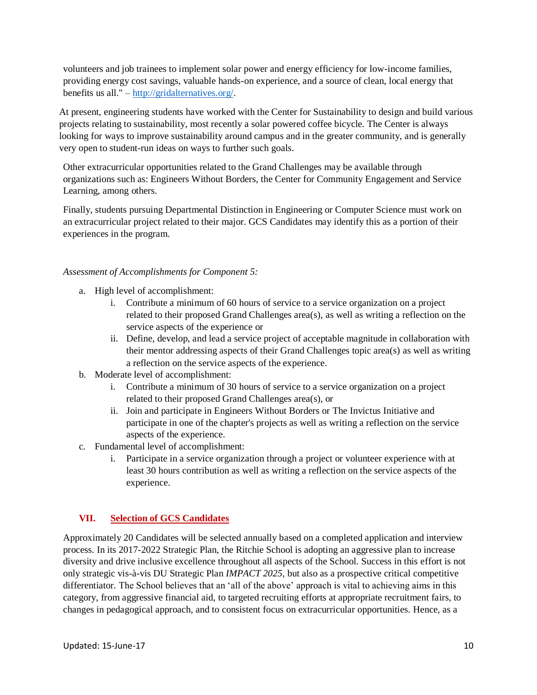volunteers and job trainees to implement solar power and energy efficiency for low-income families, providing energy cost savings, valuable hands-on experience, and a source of clean, local energy that benefits us all." – [http://gridalternatives.org/.](http://gridalternatives.org/)

At present, engineering students have worked with the Center for Sustainability to design and build various projects relating to sustainability, most recently a solar powered coffee bicycle. The Center is always looking for ways to improve sustainability around campus and in the greater community, and is generally very open to student-run ideas on ways to further such goals.

Other extracurricular opportunities related to the Grand Challenges may be available through organizations such as: Engineers Without Borders, the Center for Community Engagement and Service Learning, among others.

Finally, students pursuing Departmental Distinction in Engineering or Computer Science must work on an extracurricular project related to their major. GCS Candidates may identify this as a portion of their experiences in the program.

# *Assessment of Accomplishments for Component 5:*

- a. High level of accomplishment:
	- i. Contribute a minimum of 60 hours of service to a service organization on a project related to their proposed Grand Challenges area(s), as well as writing a reflection on the service aspects of the experience or
	- ii. Define, develop, and lead a service project of acceptable magnitude in collaboration with their mentor addressing aspects of their Grand Challenges topic area(s) as well as writing a reflection on the service aspects of the experience.
- b. Moderate level of accomplishment:
	- i. Contribute a minimum of 30 hours of service to a service organization on a project related to their proposed Grand Challenges area(s), or
	- ii. Join and participate in Engineers Without Borders or The Invictus Initiative and participate in one of the chapter's projects as well as writing a reflection on the service aspects of the experience.
- c. Fundamental level of accomplishment:
	- i. Participate in a service organization through a project or volunteer experience with at least 30 hours contribution as well as writing a reflection on the service aspects of the experience.

# <span id="page-9-0"></span>**VII. Selection of GCS Candidates**

Approximately 20 Candidates will be selected annually based on a completed application and interview process. In its 2017-2022 Strategic Plan, the Ritchie School is adopting an aggressive plan to increase diversity and drive inclusive excellence throughout all aspects of the School. Success in this effort is not only strategic vis-à-vis DU Strategic Plan *IMPACT 2025*, but also as a prospective critical competitive differentiator. The School believes that an 'all of the above' approach is vital to achieving aims in this category, from aggressive financial aid, to targeted recruiting efforts at appropriate recruitment fairs, to changes in pedagogical approach, and to consistent focus on extracurricular opportunities. Hence, as a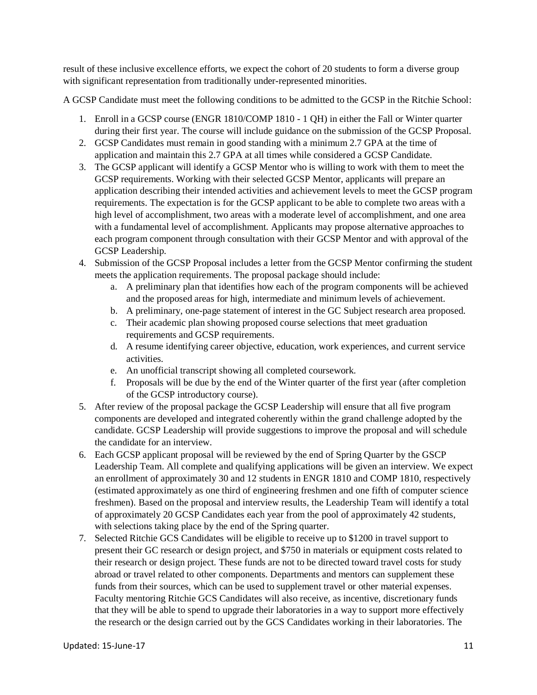result of these inclusive excellence efforts, we expect the cohort of 20 students to form a diverse group with significant representation from traditionally under-represented minorities.

A GCSP Candidate must meet the following conditions to be admitted to the GCSP in the Ritchie School:

- 1. Enroll in a GCSP course (ENGR 1810/COMP 1810 1 QH) in either the Fall or Winter quarter during their first year. The course will include guidance on the submission of the GCSP Proposal.
- 2. GCSP Candidates must remain in good standing with a minimum 2.7 GPA at the time of application and maintain this 2.7 GPA at all times while considered a GCSP Candidate.
- 3. The GCSP applicant will identify a GCSP Mentor who is willing to work with them to meet the GCSP requirements. Working with their selected GCSP Mentor, applicants will prepare an application describing their intended activities and achievement levels to meet the GCSP program requirements. The expectation is for the GCSP applicant to be able to complete two areas with a high level of accomplishment, two areas with a moderate level of accomplishment, and one area with a fundamental level of accomplishment. Applicants may propose alternative approaches to each program component through consultation with their GCSP Mentor and with approval of the GCSP Leadership.
- 4. Submission of the GCSP Proposal includes a letter from the GCSP Mentor confirming the student meets the application requirements. The proposal package should include:
	- a. A preliminary plan that identifies how each of the program components will be achieved and the proposed areas for high, intermediate and minimum levels of achievement.
	- b. A preliminary, one-page statement of interest in the GC Subject research area proposed.
	- c. Their academic plan showing proposed course selections that meet graduation requirements and GCSP requirements.
	- d. A resume identifying career objective, education, work experiences, and current service activities.
	- e. An unofficial transcript showing all completed coursework.
	- f. Proposals will be due by the end of the Winter quarter of the first year (after completion of the GCSP introductory course).
- 5. After review of the proposal package the GCSP Leadership will ensure that all five program components are developed and integrated coherently within the grand challenge adopted by the candidate. GCSP Leadership will provide suggestions to improve the proposal and will schedule the candidate for an interview.
- 6. Each GCSP applicant proposal will be reviewed by the end of Spring Quarter by the GSCP Leadership Team. All complete and qualifying applications will be given an interview. We expect an enrollment of approximately 30 and 12 students in ENGR 1810 and COMP 1810, respectively (estimated approximately as one third of engineering freshmen and one fifth of computer science freshmen). Based on the proposal and interview results, the Leadership Team will identify a total of approximately 20 GCSP Candidates each year from the pool of approximately 42 students, with selections taking place by the end of the Spring quarter.
- 7. Selected Ritchie GCS Candidates will be eligible to receive up to \$1200 in travel support to present their GC research or design project, and \$750 in materials or equipment costs related to their research or design project. These funds are not to be directed toward travel costs for study abroad or travel related to other components. Departments and mentors can supplement these funds from their sources, which can be used to supplement travel or other material expenses. Faculty mentoring Ritchie GCS Candidates will also receive, as incentive, discretionary funds that they will be able to spend to upgrade their laboratories in a way to support more effectively the research or the design carried out by the GCS Candidates working in their laboratories. The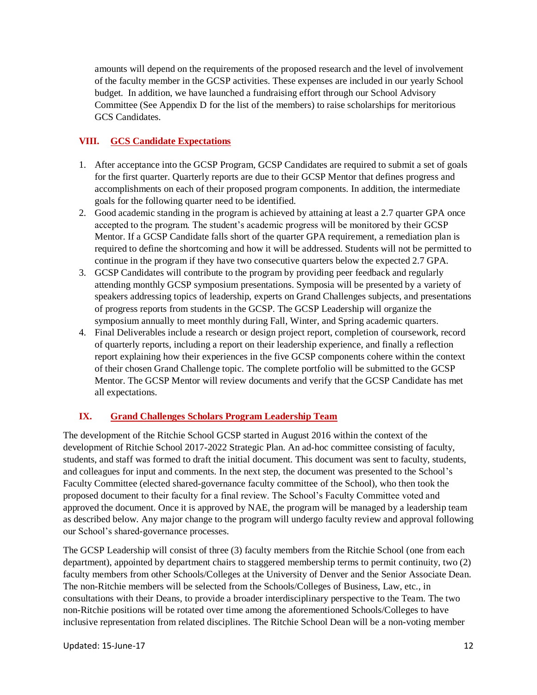amounts will depend on the requirements of the proposed research and the level of involvement of the faculty member in the GCSP activities. These expenses are included in our yearly School budget. In addition, we have launched a fundraising effort through our School Advisory Committee (See Appendix D for the list of the members) to raise scholarships for meritorious GCS Candidates.

# <span id="page-11-0"></span>**VIII. GCS Candidate Expectations**

- 1. After acceptance into the GCSP Program, GCSP Candidates are required to submit a set of goals for the first quarter. Quarterly reports are due to their GCSP Mentor that defines progress and accomplishments on each of their proposed program components. In addition, the intermediate goals for the following quarter need to be identified.
- 2. Good academic standing in the program is achieved by attaining at least a 2.7 quarter GPA once accepted to the program. The student's academic progress will be monitored by their GCSP Mentor. If a GCSP Candidate falls short of the quarter GPA requirement, a remediation plan is required to define the shortcoming and how it will be addressed. Students will not be permitted to continue in the program if they have two consecutive quarters below the expected 2.7 GPA.
- 3. GCSP Candidates will contribute to the program by providing peer feedback and regularly attending monthly GCSP symposium presentations. Symposia will be presented by a variety of speakers addressing topics of leadership, experts on Grand Challenges subjects, and presentations of progress reports from students in the GCSP. The GCSP Leadership will organize the symposium annually to meet monthly during Fall, Winter, and Spring academic quarters.
- 4. Final Deliverables include a research or design project report, completion of coursework, record of quarterly reports, including a report on their leadership experience, and finally a reflection report explaining how their experiences in the five GCSP components cohere within the context of their chosen Grand Challenge topic. The complete portfolio will be submitted to the GCSP Mentor. The GCSP Mentor will review documents and verify that the GCSP Candidate has met all expectations.

# <span id="page-11-1"></span>**IX. Grand Challenges Scholars Program Leadership Team**

The development of the Ritchie School GCSP started in August 2016 within the context of the development of Ritchie School 2017-2022 Strategic Plan. An ad-hoc committee consisting of faculty, students, and staff was formed to draft the initial document. This document was sent to faculty, students, and colleagues for input and comments. In the next step, the document was presented to the School's Faculty Committee (elected shared-governance faculty committee of the School), who then took the proposed document to their faculty for a final review. The School's Faculty Committee voted and approved the document. Once it is approved by NAE, the program will be managed by a leadership team as described below. Any major change to the program will undergo faculty review and approval following our School's shared-governance processes.

The GCSP Leadership will consist of three (3) faculty members from the Ritchie School (one from each department), appointed by department chairs to staggered membership terms to permit continuity, two (2) faculty members from other Schools/Colleges at the University of Denver and the Senior Associate Dean. The non-Ritchie members will be selected from the Schools/Colleges of Business, Law, etc., in consultations with their Deans, to provide a broader interdisciplinary perspective to the Team. The two non-Ritchie positions will be rotated over time among the aforementioned Schools/Colleges to have inclusive representation from related disciplines. The Ritchie School Dean will be a non-voting member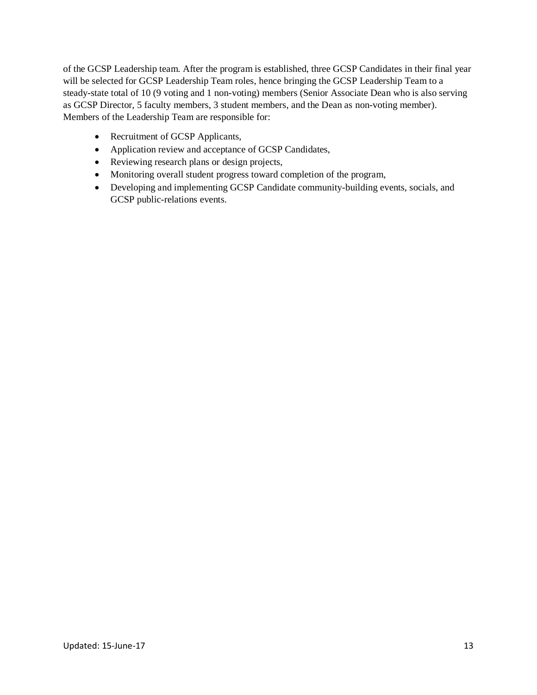of the GCSP Leadership team. After the program is established, three GCSP Candidates in their final year will be selected for GCSP Leadership Team roles, hence bringing the GCSP Leadership Team to a steady-state total of 10 (9 voting and 1 non-voting) members (Senior Associate Dean who is also serving as GCSP Director, 5 faculty members, 3 student members, and the Dean as non-voting member). Members of the Leadership Team are responsible for:

- Recruitment of GCSP Applicants,
- Application review and acceptance of GCSP Candidates,
- Reviewing research plans or design projects,
- Monitoring overall student progress toward completion of the program,
- Developing and implementing GCSP Candidate community-building events, socials, and GCSP public-relations events.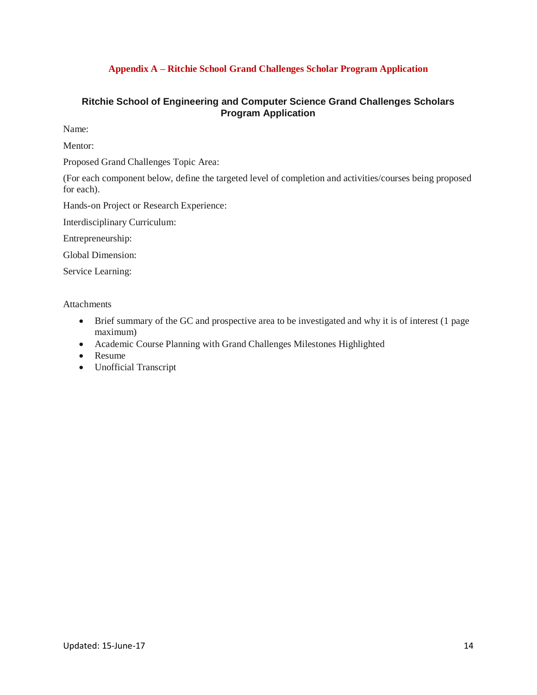# **Appendix A – Ritchie School Grand Challenges Scholar Program Application**

# <span id="page-13-0"></span>**Ritchie School of Engineering and Computer Science Grand Challenges Scholars Program Application**

Name:

Mentor:

Proposed Grand Challenges Topic Area:

(For each component below, define the targeted level of completion and activities/courses being proposed for each).

Hands-on Project or Research Experience:

Interdisciplinary Curriculum:

Entrepreneurship:

Global Dimension:

Service Learning:

Attachments

- Brief summary of the GC and prospective area to be investigated and why it is of interest (1 page) maximum)
- Academic Course Planning with Grand Challenges Milestones Highlighted
- Resume
- Unofficial Transcript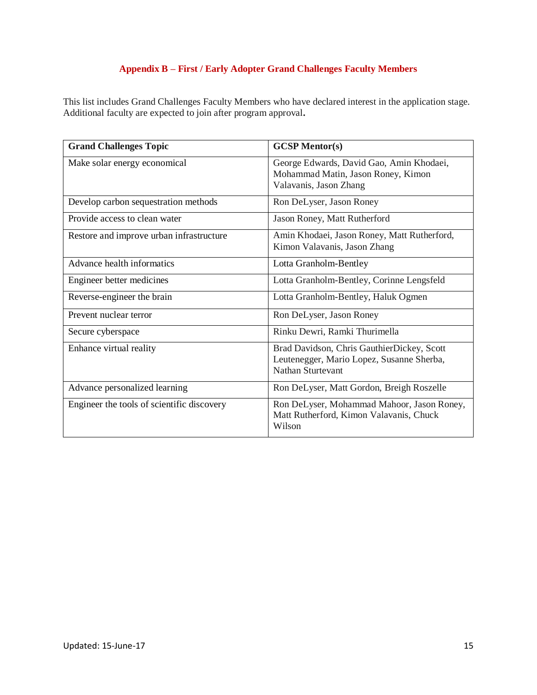# **Appendix B – First / Early Adopter Grand Challenges Faculty Members**

<span id="page-14-0"></span>This list includes Grand Challenges Faculty Members who have declared interest in the application stage. Additional faculty are expected to join after program approval**.**

| <b>Grand Challenges Topic</b>              | <b>GCSP Mentor(s)</b>                                                                                        |
|--------------------------------------------|--------------------------------------------------------------------------------------------------------------|
| Make solar energy economical               | George Edwards, David Gao, Amin Khodaei,<br>Mohammad Matin, Jason Roney, Kimon<br>Valavanis, Jason Zhang     |
| Develop carbon sequestration methods       | Ron DeLyser, Jason Roney                                                                                     |
| Provide access to clean water              | Jason Roney, Matt Rutherford                                                                                 |
| Restore and improve urban infrastructure   | Amin Khodaei, Jason Roney, Matt Rutherford,<br>Kimon Valavanis, Jason Zhang                                  |
| Advance health informatics                 | Lotta Granholm-Bentley                                                                                       |
| Engineer better medicines                  | Lotta Granholm-Bentley, Corinne Lengsfeld                                                                    |
| Reverse-engineer the brain                 | Lotta Granholm-Bentley, Haluk Ogmen                                                                          |
| Prevent nuclear terror                     | Ron DeLyser, Jason Roney                                                                                     |
| Secure cyberspace                          | Rinku Dewri, Ramki Thurimella                                                                                |
| Enhance virtual reality                    | Brad Davidson, Chris GauthierDickey, Scott<br>Leutenegger, Mario Lopez, Susanne Sherba,<br>Nathan Sturtevant |
| Advance personalized learning              | Ron DeLyser, Matt Gordon, Breigh Roszelle                                                                    |
| Engineer the tools of scientific discovery | Ron DeLyser, Mohammad Mahoor, Jason Roney,<br>Matt Rutherford, Kimon Valavanis, Chuck<br>Wilson              |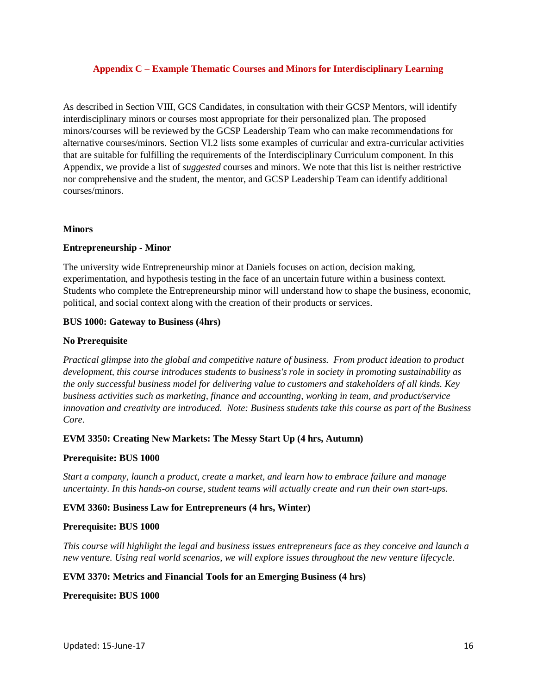#### <span id="page-15-0"></span>**Appendix C – Example Thematic Courses and Minors for Interdisciplinary Learning**

As described in Section VIII, GCS Candidates, in consultation with their GCSP Mentors, will identify interdisciplinary minors or courses most appropriate for their personalized plan. The proposed minors/courses will be reviewed by the GCSP Leadership Team who can make recommendations for alternative courses/minors. Section VI.2 lists some examples of curricular and extra-curricular activities that are suitable for fulfilling the requirements of the Interdisciplinary Curriculum component. In this Appendix, we provide a list of *suggested* courses and minors. We note that this list is neither restrictive nor comprehensive and the student, the mentor, and GCSP Leadership Team can identify additional courses/minors.

#### **Minors**

#### **Entrepreneurship - Minor**

The university wide Entrepreneurship minor at Daniels focuses on action, decision making, experimentation, and hypothesis testing in the face of an uncertain future within a business context. Students who complete the Entrepreneurship minor will understand how to shape the business, economic, political, and social context along with the creation of their products or services.

#### **BUS 1000: Gateway to Business (4hrs)**

#### **No Prerequisite**

*Practical glimpse into the global and competitive nature of business. From product ideation to product development, this course introduces students to business's role in society in promoting sustainability as the only successful business model for delivering value to customers and stakeholders of all kinds. Key business activities such as marketing, finance and accounting, working in team, and product/service innovation and creativity are introduced. Note: Business students take this course as part of the Business Core.* 

# **EVM 3350: Creating New Markets: The Messy Start Up (4 hrs, Autumn)**

#### **Prerequisite: BUS 1000**

*Start a company, launch a product, create a market, and learn how to embrace failure and manage uncertainty. In this hands-on course, student teams will actually create and run their own start-ups.* 

#### **EVM 3360: Business Law for Entrepreneurs (4 hrs, Winter)**

#### **Prerequisite: BUS 1000**

*This course will highlight the legal and business issues entrepreneurs face as they conceive and launch a new venture. Using real world scenarios, we will explore issues throughout the new venture lifecycle.* 

# **EVM 3370: Metrics and Financial Tools for an Emerging Business (4 hrs)**

#### **Prerequisite: BUS 1000**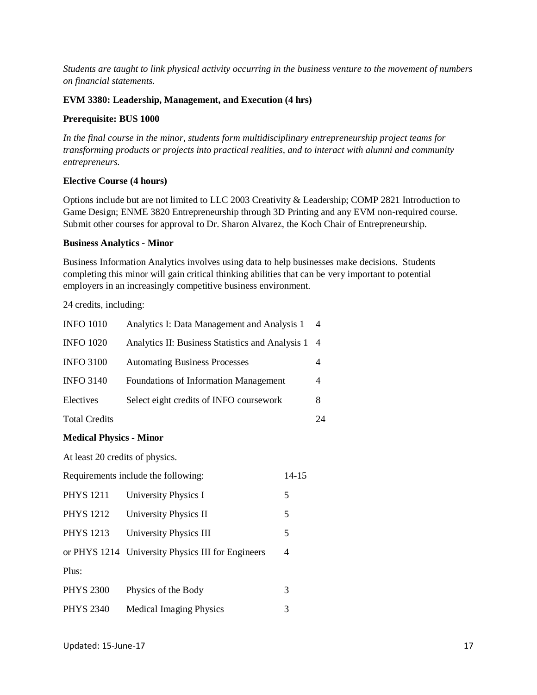*Students are taught to link physical activity occurring in the business venture to the movement of numbers on financial statements.* 

#### **EVM 3380: Leadership, Management, and Execution (4 hrs)**

#### **Prerequisite: BUS 1000**

*In the final course in the minor, students form multidisciplinary entrepreneurship project teams for transforming products or projects into practical realities, and to interact with alumni and community entrepreneurs.*

# **Elective Course (4 hours)**

Options include but are not limited to LLC 2003 Creativity & Leadership; COMP 2821 Introduction to Game Design; ENME 3820 Entrepreneurship through 3D Printing and any EVM non-required course. Submit other courses for approval to Dr. Sharon Alvarez, the Koch Chair of Entrepreneurship.

#### **Business Analytics - Minor**

Business Information Analytics involves using data to help businesses make decisions. Students completing this minor will gain critical thinking abilities that can be very important to potential employers in an increasingly competitive business environment.

24 credits, including:

| <b>INFO 1010</b>     | Analytics I: Data Management and Analysis 1      | $\overline{4}$ |
|----------------------|--------------------------------------------------|----------------|
| <b>INFO 1020</b>     | Analytics II: Business Statistics and Analysis 1 | -4             |
| <b>INFO 3100</b>     | <b>Automating Business Processes</b>             |                |
| <b>INFO 3140</b>     | <b>Foundations of Information Management</b>     | 4              |
| Electives            | Select eight credits of INFO coursework          | 8              |
| <b>Total Credits</b> |                                                  | 24             |
|                      |                                                  |                |

# **Medical Physics - Minor**

At least 20 credits of physics.

| Requirements include the following: |                                                   | 14-15 |
|-------------------------------------|---------------------------------------------------|-------|
| <b>PHYS 1211</b>                    | University Physics I                              | 5     |
| <b>PHYS 1212</b>                    | University Physics II                             | 5     |
| <b>PHYS 1213</b>                    | University Physics III                            | 5     |
|                                     | or PHYS 1214 University Physics III for Engineers | 4     |
| Plus:                               |                                                   |       |
| <b>PHYS 2300</b>                    | Physics of the Body                               | 3     |
| <b>PHYS 2340</b>                    | <b>Medical Imaging Physics</b>                    | 3     |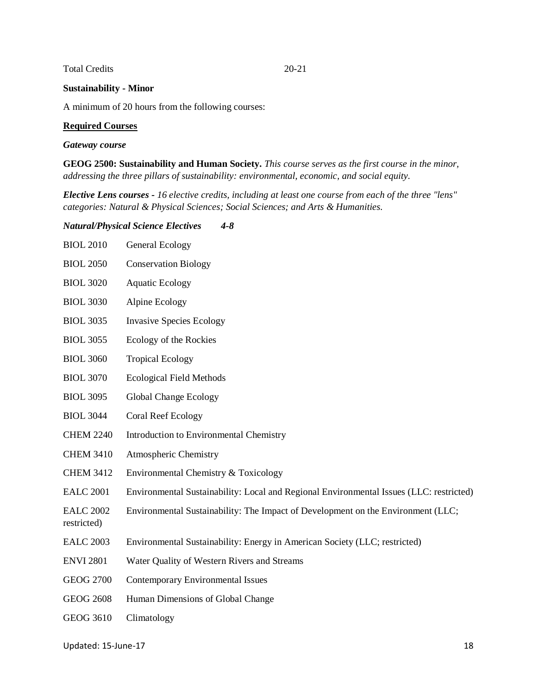# Total Credits 20-21

# **Sustainability - Minor**

A minimum of 20 hours from the following courses:

#### **Required Courses**

#### *Gateway course*

**GEOG 2500: Sustainability and Human Society.** *This course serves as the first course in the minor, addressing the three pillars of sustainability: environmental, economic, and social equity.*

*Elective Lens courses - 16 elective credits, including at least one course from each of the three "lens" categories: Natural & Physical Sciences; Social Sciences; and Arts & Humanities.*

#### *Natural/Physical Science Electives 4-8*

| <b>BIOL 2010</b>                | General Ecology                                                                         |
|---------------------------------|-----------------------------------------------------------------------------------------|
| <b>BIOL 2050</b>                | <b>Conservation Biology</b>                                                             |
| <b>BIOL 3020</b>                | <b>Aquatic Ecology</b>                                                                  |
| <b>BIOL 3030</b>                | Alpine Ecology                                                                          |
| <b>BIOL 3035</b>                | <b>Invasive Species Ecology</b>                                                         |
| <b>BIOL 3055</b>                | Ecology of the Rockies                                                                  |
| <b>BIOL 3060</b>                | <b>Tropical Ecology</b>                                                                 |
| <b>BIOL 3070</b>                | <b>Ecological Field Methods</b>                                                         |
| <b>BIOL 3095</b>                | <b>Global Change Ecology</b>                                                            |
| <b>BIOL 3044</b>                | <b>Coral Reef Ecology</b>                                                               |
| <b>CHEM 2240</b>                | Introduction to Environmental Chemistry                                                 |
| <b>CHEM 3410</b>                | Atmospheric Chemistry                                                                   |
| <b>CHEM 3412</b>                | Environmental Chemistry & Toxicology                                                    |
| <b>EALC 2001</b>                | Environmental Sustainability: Local and Regional Environmental Issues (LLC: restricted) |
| <b>EALC 2002</b><br>restricted) | Environmental Sustainability: The Impact of Development on the Environment (LLC;        |
| <b>EALC 2003</b>                | Environmental Sustainability: Energy in American Society (LLC; restricted)              |
| <b>ENVI 2801</b>                | Water Quality of Western Rivers and Streams                                             |
| <b>GEOG 2700</b>                | <b>Contemporary Environmental Issues</b>                                                |
| <b>GEOG 2608</b>                | Human Dimensions of Global Change                                                       |
| <b>GEOG 3610</b>                | Climatology                                                                             |

#### Updated: 15-June-17 18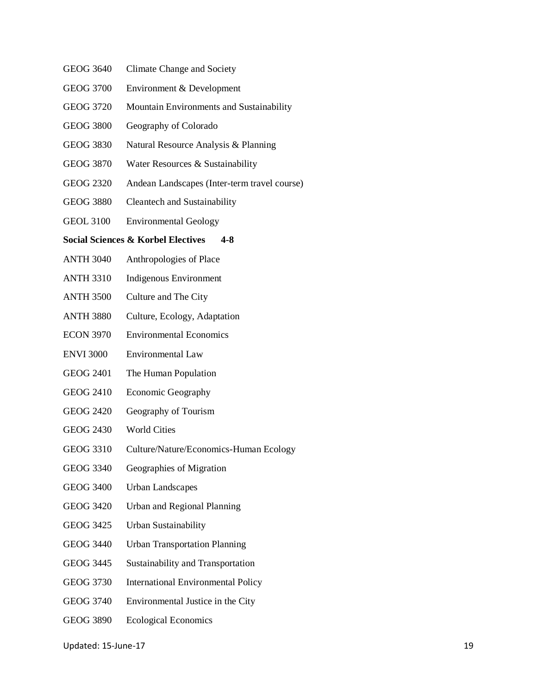- GEOG 3640 Climate Change and Society
- GEOG 3700 Environment & Development
- GEOG 3720 Mountain Environments and Sustainability
- GEOG 3800 Geography of Colorado
- GEOG 3830 Natural Resource Analysis & Planning
- GEOG 3870 Water Resources & Sustainability
- GEOG 2320 Andean Landscapes (Inter-term travel course)
- GEOG 3880 Cleantech and Sustainability
- GEOL 3100 Environmental Geology

#### **Social Sciences & Korbel Electives 4-8**

- ANTH 3040 Anthropologies of Place
- ANTH 3310 Indigenous Environment
- ANTH 3500 Culture and The City
- ANTH 3880 Culture, Ecology, Adaptation
- ECON 3970 Environmental Economics
- ENVI 3000 Environmental Law
- GEOG 2401 The Human Population
- GEOG 2410 Economic Geography
- GEOG 2420 Geography of Tourism
- GEOG 2430 World Cities
- GEOG 3310 Culture/Nature/Economics-Human Ecology
- GEOG 3340 Geographies of Migration
- GEOG 3400 Urban Landscapes
- GEOG 3420 Urban and Regional Planning
- GEOG 3425 Urban Sustainability
- GEOG 3440 Urban Transportation Planning
- GEOG 3445 Sustainability and Transportation
- GEOG 3730 International Environmental Policy
- GEOG 3740 Environmental Justice in the City
- GEOG 3890 Ecological Economics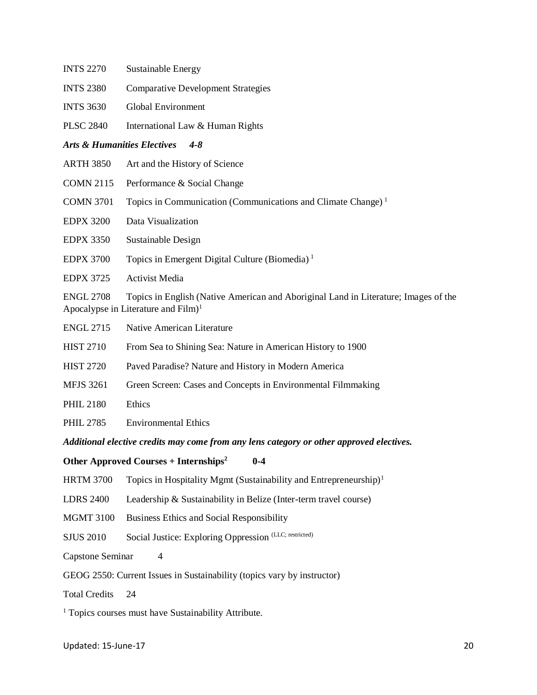| <b>INTS 2270</b>                       | Sustainable Energy                                                                                                                      |
|----------------------------------------|-----------------------------------------------------------------------------------------------------------------------------------------|
| <b>INTS 2380</b>                       | <b>Comparative Development Strategies</b>                                                                                               |
| <b>INTS 3630</b>                       | <b>Global Environment</b>                                                                                                               |
| <b>PLSC 2840</b>                       | International Law & Human Rights                                                                                                        |
| <b>Arts &amp; Humanities Electives</b> | $4 - 8$                                                                                                                                 |
| <b>ARTH 3850</b>                       | Art and the History of Science                                                                                                          |
| <b>COMN 2115</b>                       | Performance & Social Change                                                                                                             |
| <b>COMN 3701</b>                       | Topics in Communication (Communications and Climate Change) <sup>1</sup>                                                                |
| <b>EDPX 3200</b>                       | Data Visualization                                                                                                                      |
| <b>EDPX 3350</b>                       | Sustainable Design                                                                                                                      |
| <b>EDPX 3700</b>                       | Topics in Emergent Digital Culture (Biomedia) <sup>1</sup>                                                                              |
| <b>EDPX 3725</b>                       | <b>Activist Media</b>                                                                                                                   |
| <b>ENGL 2708</b>                       | Topics in English (Native American and Aboriginal Land in Literature; Images of the<br>Apocalypse in Literature and $Film$ <sup>1</sup> |
| <b>ENGL 2715</b>                       | Native American Literature                                                                                                              |

- HIST 2710 From Sea to Shining Sea: Nature in American History to 1900
- HIST 2720 Paved Paradise? Nature and History in Modern America
- MFJS 3261 Green Screen: Cases and Concepts in Environmental Filmmaking
- PHIL 2180 Ethics
- PHIL 2785 Environmental Ethics

*Additional elective credits may come from any lens category or other approved electives.*

# **Other Approved Courses + Internships<sup>2</sup> 0-4**

HRTM 3700 Topics in Hospitality Mgmt (Sustainability and Entrepreneurship)<sup>1</sup>

LDRS 2400 Leadership & Sustainability in Belize (Inter-term travel course)

- MGMT 3100 Business Ethics and Social Responsibility
- SJUS 2010 Social Justice: Exploring Oppression (LLC; restricted)
- Capstone Seminar 4

# GEOG 2550: Current Issues in Sustainability (topics vary by instructor)

Total Credits 24

<sup>1</sup> Topics courses must have Sustainability Attribute.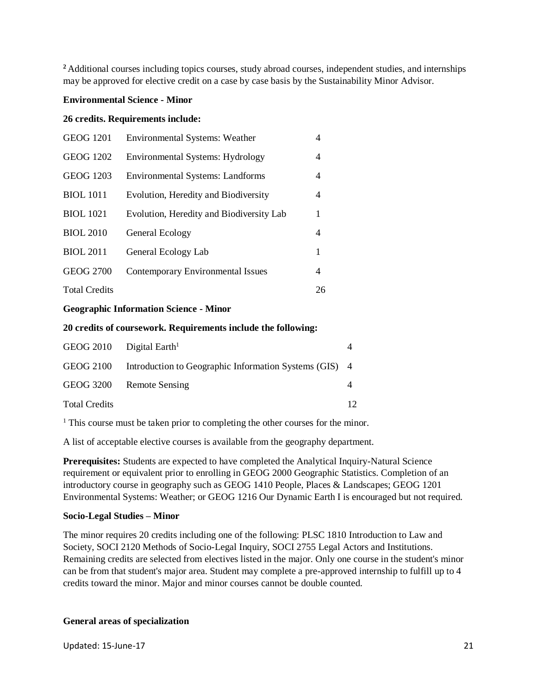<sup>2</sup>Additional courses including topics courses, study abroad courses, independent studies, and internships may be approved for elective credit on a case by case basis by the Sustainability Minor Advisor.

# **Environmental Science - Minor**

#### **26 credits. Requirements include:**

| <b>GEOG 1201</b>     | <b>Environmental Systems: Weather</b>    | 4  |
|----------------------|------------------------------------------|----|
| <b>GEOG 1202</b>     | Environmental Systems: Hydrology         | 4  |
| <b>GEOG 1203</b>     | <b>Environmental Systems: Landforms</b>  | 4  |
| <b>BIOL</b> 1011     | Evolution, Heredity and Biodiversity     | 4  |
| <b>BIOL</b> 1021     | Evolution, Heredity and Biodiversity Lab | 1  |
| <b>BIOL 2010</b>     | General Ecology                          | 4  |
| <b>BIOL 2011</b>     | General Ecology Lab                      | 1  |
| <b>GEOG 2700</b>     | <b>Contemporary Environmental Issues</b> | 4  |
| <b>Total Credits</b> |                                          | 26 |

# **Geographic Information Science - Minor**

# **20 credits of coursework. Requirements include the following:**

| GEOG 2010 Digital Earth <sup>1</sup> |                                                                  |                 |
|--------------------------------------|------------------------------------------------------------------|-----------------|
|                                      | GEOG 2100 Introduction to Geographic Information Systems (GIS) 4 |                 |
|                                      | GEOG 3200 Remote Sensing                                         |                 |
| <b>Total Credits</b>                 |                                                                  | 12 <sup>°</sup> |

<sup>1</sup> This course must be taken prior to completing the other courses for the minor.

A list of acceptable elective courses is available from the geography department.

**Prerequisites:** Students are expected to have completed the Analytical Inquiry-Natural Science requirement or equivalent prior to enrolling in GEOG 2000 Geographic Statistics. Completion of an introductory course in geography such as GEOG 1410 People, Places & Landscapes; GEOG 1201 Environmental Systems: Weather; or GEOG 1216 Our Dynamic Earth I is encouraged but not required.

# **Socio-Legal Studies – Minor**

The minor requires 20 credits including one of the following: PLSC 1810 Introduction to Law and Society, SOCI 2120 Methods of Socio-Legal Inquiry, SOCI 2755 Legal Actors and Institutions. Remaining credits are selected from electives listed in the major. Only one course in the student's minor can be from that student's major area. Student may complete a pre-approved internship to fulfill up to 4 credits toward the minor. Major and minor courses cannot be double counted.

# **General areas of specialization**

Updated: 15-June-17 21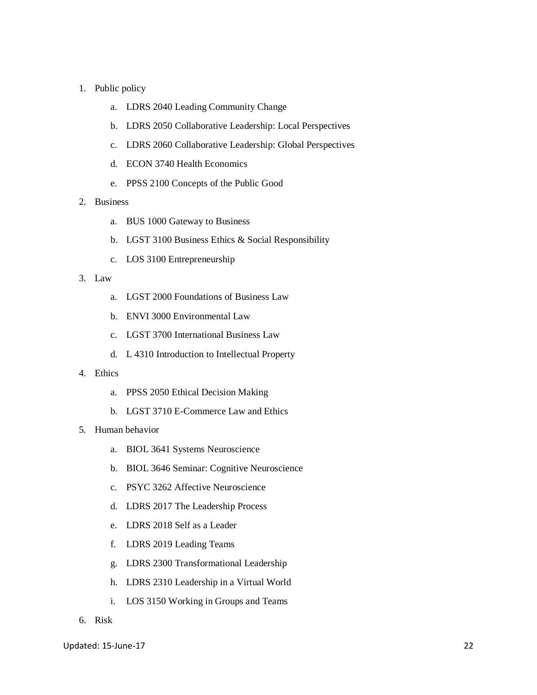#### 1. Public policy

- a. LDRS 2040 Leading Community Change
- b. LDRS 2050 Collaborative Leadership: Local Perspectives
- c. LDRS 2060 Collaborative Leadership: Global Perspectives
- d. ECON 3740 Health Economics
- e. PPSS 2100 Concepts of the Public Good

#### 2. Business

- a. BUS 1000 Gateway to Business
- b. LGST 3100 Business Ethics & Social Responsibility
- c. LOS 3100 Entrepreneurship

#### 3. Law

- a. LGST 2000 Foundations of Business Law
- b. ENVI 3000 Environmental Law
- c. LGST 3700 International Business Law
- d. L 4310 Introduction to Intellectual Property

#### 4. Ethics

- a. PPSS 2050 Ethical Decision Making
- b. LGST 3710 E-Commerce Law and Ethics

# 5. Human behavior

- a. BIOL 3641 Systems Neuroscience
- b. BIOL 3646 Seminar: Cognitive Neuroscience
- c. PSYC 3262 Affective Neuroscience
- d. LDRS 2017 The Leadership Process
- e. LDRS 2018 Self as a Leader
- f. LDRS 2019 Leading Teams
- g. LDRS 2300 Transformational Leadership
- h. LDRS 2310 Leadership in a Virtual World
- i. LOS 3150 Working in Groups and Teams
- 6. Risk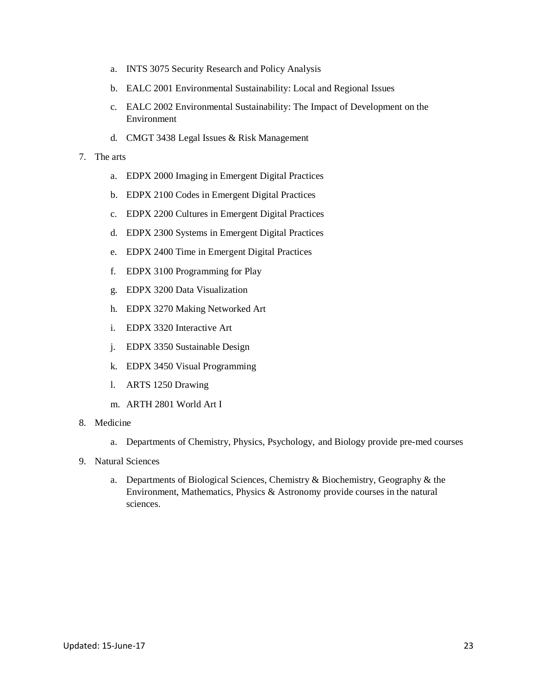- a. INTS 3075 Security Research and Policy Analysis
- b. EALC 2001 Environmental Sustainability: Local and Regional Issues
- c. EALC 2002 Environmental Sustainability: The Impact of Development on the Environment
- d. CMGT 3438 Legal Issues & Risk Management

#### 7. The arts

- a. EDPX 2000 Imaging in Emergent Digital Practices
- b. EDPX 2100 Codes in Emergent Digital Practices
- c. EDPX 2200 Cultures in Emergent Digital Practices
- d. EDPX 2300 Systems in Emergent Digital Practices
- e. EDPX 2400 Time in Emergent Digital Practices
- f. EDPX 3100 Programming for Play
- g. EDPX 3200 Data Visualization
- h. EDPX 3270 Making Networked Art
- i. EDPX 3320 Interactive Art
- j. EDPX 3350 Sustainable Design
- k. EDPX 3450 Visual Programming
- l. ARTS 1250 Drawing
- m. ARTH 2801 World Art I
- 8. Medicine
	- a. Departments of Chemistry, Physics, Psychology, and Biology provide pre-med courses
- 9. Natural Sciences
	- a. Departments of Biological Sciences, Chemistry & Biochemistry, Geography & the Environment, Mathematics, Physics & Astronomy provide courses in the natural sciences.